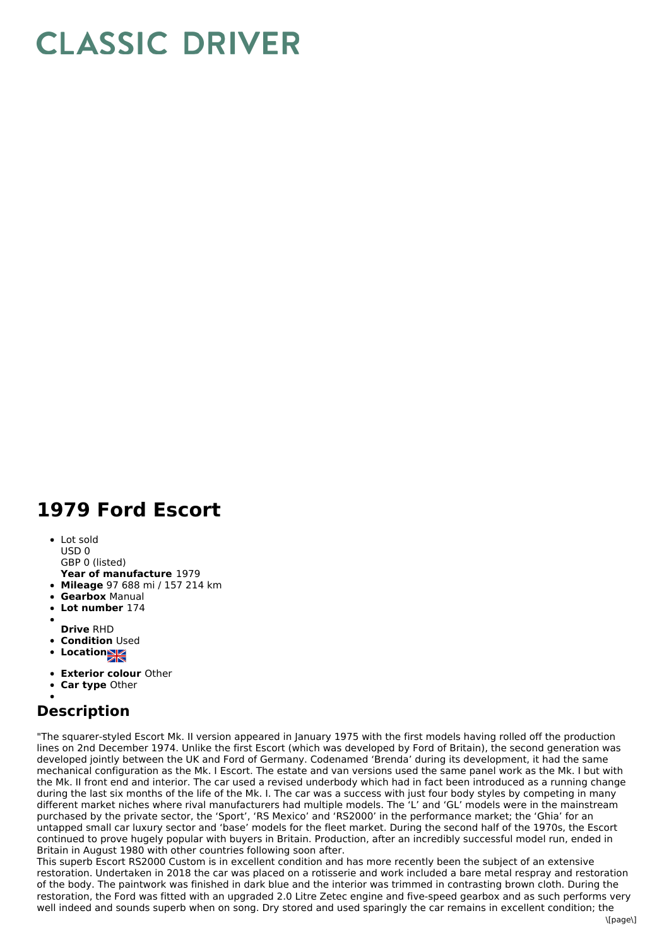## **CLASSIC DRIVER**

## **1979 Ford Escort**

• Lot sold USD 0

GBP 0 (listed)

- **Year of manufacture** 1979 **Mileage** 97 688 mi / 157 214 km
- **Gearbox** Manual
- **Lot number** 174
- 
- **Drive** RHD
- **Condition Used**
- **Location**
- 
- **Exterior colour** Other
- **Car type** Other

## **Description**

"The squarer-styled Escort Mk. II version appeared in January 1975 with the first models having rolled off the production lines on 2nd December 1974. Unlike the first Escort (which was developed by Ford of Britain), the second generation was developed jointly between the UK and Ford of Germany. Codenamed 'Brenda' during its development, it had the same mechanical configuration as the Mk. I Escort. The estate and van versions used the same panel work as the Mk. I but with the Mk. II front end and interior. The car used a revised underbody which had in fact been introduced as a running change during the last six months of the life of the Mk. I. The car was a success with just four body styles by competing in many different market niches where rival manufacturers had multiple models. The 'L' and 'GL' models were in the mainstream purchased by the private sector, the 'Sport', 'RS Mexico' and 'RS2000' in the performance market; the 'Ghia' for an untapped small car luxury sector and 'base' models for the fleet market. During the second half of the 1970s, the Escort continued to prove hugely popular with buyers in Britain. Production, after an incredibly successful model run, ended in Britain in August 1980 with other countries following soon after.

This superb Escort RS2000 Custom is in excellent condition and has more recently been the subject of an extensive restoration. Undertaken in 2018 the car was placed on a rotisserie and work included a bare metal respray and restoration of the body. The paintwork was finished in dark blue and the interior was trimmed in contrasting brown cloth. During the restoration, the Ford was fitted with an upgraded 2.0 Litre Zetec engine and five-speed gearbox and as such performs very well indeed and sounds superb when on song. Dry stored and used sparingly the car remains in excellent condition; the